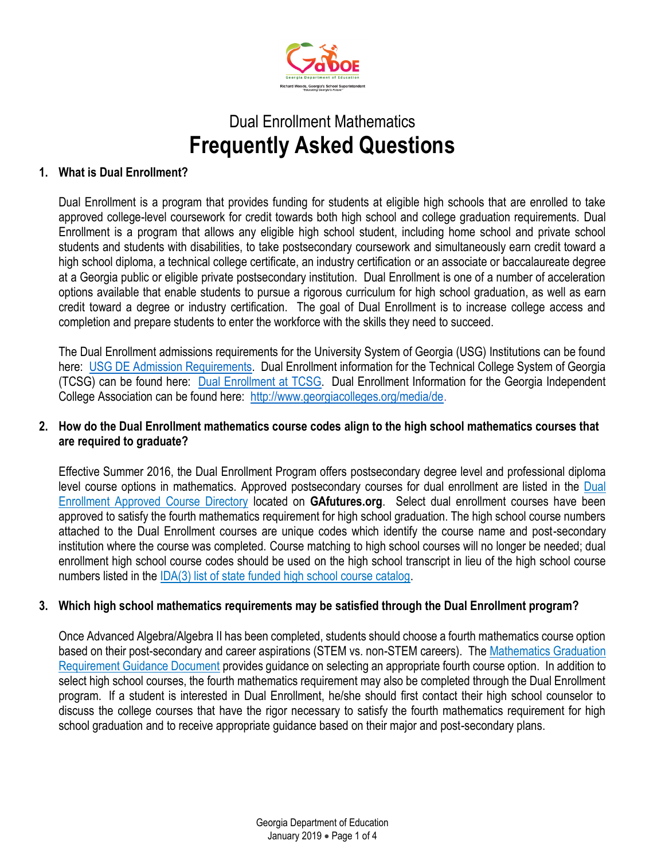

# Dual Enrollment Mathematics **Frequently Asked Questions**

## **1. What is Dual Enrollment?**

Dual Enrollment is a program that provides funding for students at eligible high schools that are enrolled to take approved college-level coursework for credit towards both high school and college graduation requirements. Dual Enrollment is a program that allows any eligible high school student, including home school and private school students and students with disabilities, to take postsecondary coursework and simultaneously earn credit toward a high school diploma, a technical college certificate, an industry certification or an associate or baccalaureate degree at a Georgia public or eligible private postsecondary institution. Dual Enrollment is one of a number of acceleration options available that enable students to pursue a rigorous curriculum for high school graduation, as well as earn credit toward a degree or industry certification. The goal of Dual Enrollment is to increase college access and completion and prepare students to enter the workforce with the skills they need to succeed.

The Dual Enrollment admissions requirements for the University System of Georgia (USG) Institutions can be found here: [USG DE Admission Requirements.](https://www.usg.edu/assets/student_affairs/documents/USG_DE_Admission_Requirements.pdf) Dual Enrollment information for the Technical College System of Georgia (TCSG) can be found here: [Dual Enrollment at TCSG.](https://doublethecredit.org/) Dual Enrollment Information for the Georgia Independent College Association can be found here: [http://www.georgiacolleges.org/media/de.](http://www.georgiacolleges.org/media/de)

## **2. How do the Dual Enrollment mathematics course codes align to the high school mathematics courses that are required to graduate?**

Effective Summer 2016, the Dual Enrollment Program offers postsecondary degree level and professional diploma level course options in mathematics. Approved postsecondary courses for dual enrollment are listed in the [Dual](https://apps.gsfc.org/securenextgen/dsp_accel_course_listings.cfm)  [Enrollment Approved Course Directory](https://apps.gsfc.org/securenextgen/dsp_accel_course_listings.cfm) located on **GAfutures.org**. Select dual enrollment courses have been approved to satisfy the fourth mathematics requirement for high school graduation. The high school course numbers attached to the Dual Enrollment courses are unique codes which identify the course name and post-secondary institution where the course was completed. Course matching to high school courses will no longer be needed; dual enrollment high school course codes should be used on the high school transcript in lieu of the high school course numbers listed in the [IDA\(3\) list of state funded high school course catalog.](http://www.gadoe.org/Curriculum-Instruction-and-Assessment/Curriculum-and-Instruction/Documents/State-Funded-List-of-Subjects-and-Courses-Supported-by-SBOE-Rule-160-4-2-20.pdf)

## **3. Which high school mathematics requirements may be satisfied through the Dual Enrollment program?**

Once Advanced Algebra/Algebra II has been completed, students should choose a fourth mathematics course option based on their post-secondary and career aspirations (STEM vs. non-STEM careers). The [Mathematics Graduation](http://www.gadoe.org/Curriculum-Instruction-and-Assessment/Curriculum-and-Instruction/Documents/Mathematics/GA-HS-Graduation-Requirement-Mathematics-Guidance.pdf)  [Requirement Guidance Document](http://www.gadoe.org/Curriculum-Instruction-and-Assessment/Curriculum-and-Instruction/Documents/Mathematics/GA-HS-Graduation-Requirement-Mathematics-Guidance.pdf) provides guidance on selecting an appropriate fourth course option. In addition to select high school courses, the fourth mathematics requirement may also be completed through the Dual Enrollment program. If a student is interested in Dual Enrollment, he/she should first contact their high school counselor to discuss the college courses that have the rigor necessary to satisfy the fourth mathematics requirement for high school graduation and to receive appropriate guidance based on their major and post-secondary plans.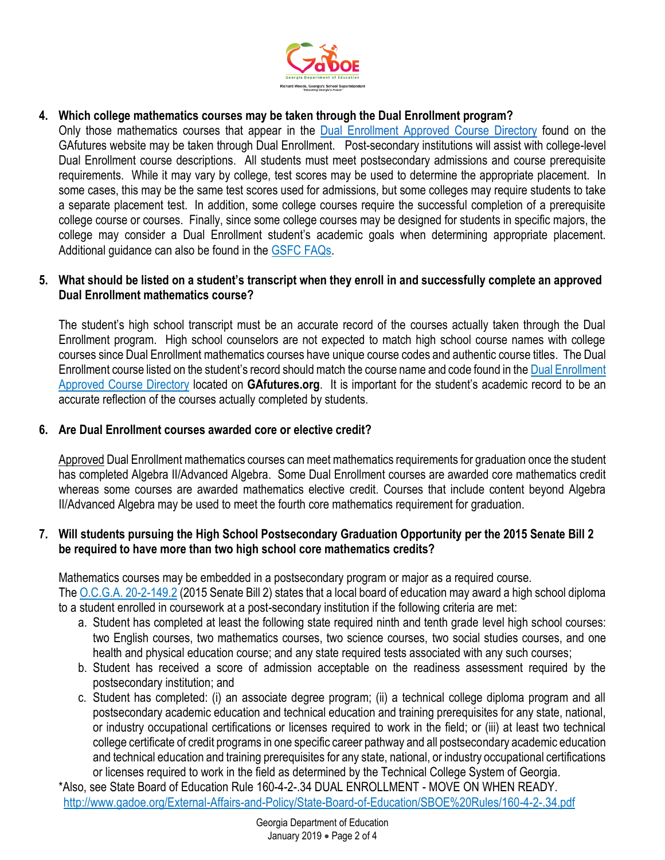

# **4. Which college mathematics courses may be taken through the Dual Enrollment program?**

Only those mathematics courses that appear in the [Dual Enrollment Approved Course Directory](https://apps.gsfc.org/securenextgen/dsp_accel_course_listings.cfm) found on the GAfutures website may be taken through Dual Enrollment. Post-secondary institutions will assist with college-level Dual Enrollment course descriptions. All students must meet postsecondary admissions and course prerequisite requirements. While it may vary by college, test scores may be used to determine the appropriate placement. In some cases, this may be the same test scores used for admissions, but some colleges may require students to take a separate placement test. In addition, some college courses require the successful completion of a prerequisite college course or courses. Finally, since some college courses may be designed for students in specific majors, the college may consider a Dual Enrollment student's academic goals when determining appropriate placement. Additional guidance can also be found in the [GSFC FAQs.](https://www.gafutures.org/media/187685/dual-enrollment-schools-faqs-07-18-18-final.pdf)

## **5. What should be listed on a student's transcript when they enroll in and successfully complete an approved Dual Enrollment mathematics course?**

The student's high school transcript must be an accurate record of the courses actually taken through the Dual Enrollment program. High school counselors are not expected to match high school course names with college courses since Dual Enrollment mathematics courses have unique course codes and authentic course titles. The Dual Enrollment course listed on the student's record should match the course name and code found in the [Dual Enrollment](https://apps.gsfc.org/securenextgen/dsp_accel_course_listings.cfm)  [Approved Course Directory](https://apps.gsfc.org/securenextgen/dsp_accel_course_listings.cfm) located on **GAfutures.org**. It is important for the student's academic record to be an accurate reflection of the courses actually completed by students.

## **6. Are Dual Enrollment courses awarded core or elective credit?**

Approved Dual Enrollment mathematics courses can meet mathematics requirements for graduation once the student has completed Algebra II/Advanced Algebra. Some Dual Enrollment courses are awarded core mathematics credit whereas some courses are awarded mathematics elective credit. Courses that include content beyond Algebra II/Advanced Algebra may be used to meet the fourth core mathematics requirement for graduation.

## **7. Will students pursuing the High School Postsecondary Graduation Opportunity per the 2015 Senate Bill 2 be required to have more than two high school core mathematics credits?**

Mathematics courses may be embedded in a postsecondary program or major as a required course. The [O.C.G.A. 20-2-149.2](http://www.legis.ga.gov/Legislation/20152016/152455.pdf) (2015 Senate Bill 2) states that a local board of education may award a high school diploma to a student enrolled in coursework at a post-secondary institution if the following criteria are met:

- a. Student has completed at least the following state required ninth and tenth grade level high school courses: two English courses, two mathematics courses, two science courses, two social studies courses, and one health and physical education course; and any state required tests associated with any such courses;
- b. Student has received a score of admission acceptable on the readiness assessment required by the postsecondary institution; and
- c. Student has completed: (i) an associate degree program; (ii) a technical college diploma program and all postsecondary academic education and technical education and training prerequisites for any state, national, or industry occupational certifications or licenses required to work in the field; or (iii) at least two technical college certificate of credit programs in one specific career pathway and all postsecondary academic education and technical education and training prerequisites for any state, national, or industry occupational certifications or licenses required to work in the field as determined by the Technical College System of Georgia.

\*Also, see State Board of Education Rule 160-4-2-.34 DUAL ENROLLMENT - MOVE ON WHEN READY. <http://www.gadoe.org/External-Affairs-and-Policy/State-Board-of-Education/SBOE%20Rules/160-4-2-.34.pdf>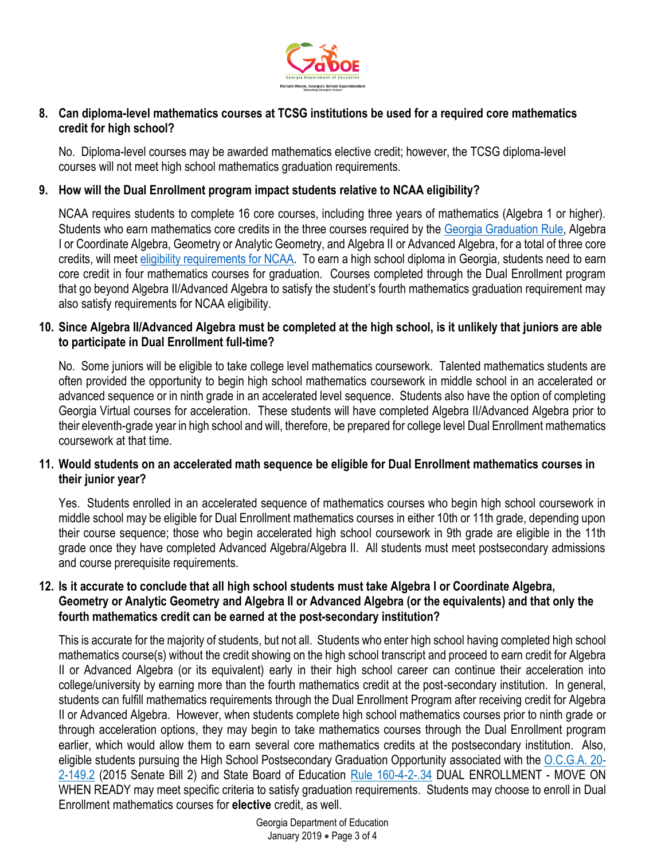

## **8. Can diploma-level mathematics courses at TCSG institutions be used for a required core mathematics credit for high school?**

No. Diploma-level courses may be awarded mathematics elective credit; however, the TCSG diploma-level courses will not meet high school mathematics graduation requirements.

## **9. How will the Dual Enrollment program impact students relative to NCAA eligibility?**

NCAA requires students to complete 16 core courses, including three years of mathematics (Algebra 1 or higher). Students who earn mathematics core credits in the three courses required by the [Georgia Graduation Rule,](http://www.gadoe.org/External-Affairs-and-Policy/State-Board-of-Education/SBOE%20Rules/160-4-2-.48.pdf) Algebra I or Coordinate Algebra, Geometry or Analytic Geometry, and Algebra II or Advanced Algebra, for a total of three core credits, will meet [eligibility requirements for NCAA.](http://www.ncaa.org/student-athletes/play-division-i-sports) To earn a high school diploma in Georgia, students need to earn core credit in four mathematics courses for graduation. Courses completed through the Dual Enrollment program that go beyond Algebra II/Advanced Algebra to satisfy the student's fourth mathematics graduation requirement may also satisfy requirements for NCAA eligibility.

#### **10. Since Algebra II/Advanced Algebra must be completed at the high school, is it unlikely that juniors are able to participate in Dual Enrollment full-time?**

No. Some juniors will be eligible to take college level mathematics coursework. Talented mathematics students are often provided the opportunity to begin high school mathematics coursework in middle school in an accelerated or advanced sequence or in ninth grade in an accelerated level sequence. Students also have the option of completing Georgia Virtual courses for acceleration. These students will have completed Algebra II/Advanced Algebra prior to their eleventh-grade year in high school and will, therefore, be prepared for college level Dual Enrollment mathematics coursework at that time.

## **11. Would students on an accelerated math sequence be eligible for Dual Enrollment mathematics courses in their junior year?**

Yes. Students enrolled in an accelerated sequence of mathematics courses who begin high school coursework in middle school may be eligible for Dual Enrollment mathematics courses in either 10th or 11th grade, depending upon their course sequence; those who begin accelerated high school coursework in 9th grade are eligible in the 11th grade once they have completed Advanced Algebra/Algebra II. All students must meet postsecondary admissions and course prerequisite requirements.

#### **12. Is it accurate to conclude that all high school students must take Algebra I or Coordinate Algebra, Geometry or Analytic Geometry and Algebra II or Advanced Algebra (or the equivalents) and that only the fourth mathematics credit can be earned at the post-secondary institution?**

This is accurate for the majority of students, but not all. Students who enter high school having completed high school mathematics course(s) without the credit showing on the high school transcript and proceed to earn credit for Algebra II or Advanced Algebra (or its equivalent) early in their high school career can continue their acceleration into college/university by earning more than the fourth mathematics credit at the post-secondary institution. In general, students can fulfill mathematics requirements through the Dual Enrollment Program after receiving credit for Algebra II or Advanced Algebra. However, when students complete high school mathematics courses prior to ninth grade or through acceleration options, they may begin to take mathematics courses through the Dual Enrollment program earlier, which would allow them to earn several core mathematics credits at the postsecondary institution. Also, eligible students pursuing the High School Postsecondary Graduation Opportunity associated with the [O.C.G.A. 20-](http://www.legis.ga.gov/Legislation/20152016/152455.pdf) [2-149.2](http://www.legis.ga.gov/Legislation/20152016/152455.pdf) (2015 Senate Bill 2) and State Board of Education [Rule 160-4-2-.34](http://www.gadoe.org/External-Affairs-and-Policy/State-Board-of-Education/SBOE%20Rules/160-4-2-.34.pdf) DUAL ENROLLMENT - MOVE ON WHEN READY may meet specific criteria to satisfy graduation requirements. Students may choose to enroll in Dual Enrollment mathematics courses for **elective** credit, as well.